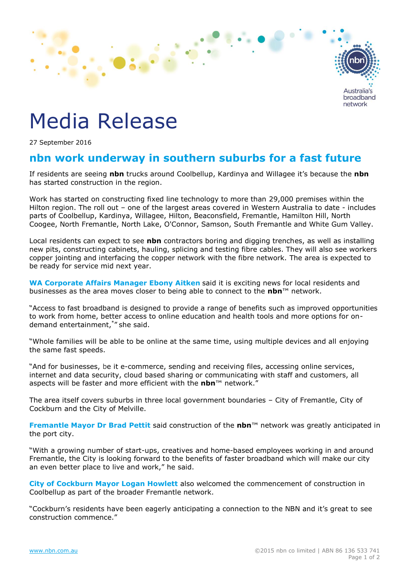

## Media Release

27 September 2016

## **nbn work underway in southern suburbs for a fast future**

If residents are seeing **nbn** trucks around Coolbellup, Kardinya and Willagee it's because the **nbn** has started construction in the region.

Work has started on constructing fixed line technology to more than 29,000 premises within the Hilton region. The roll out – one of the largest areas covered in Western Australia to date - includes parts of Coolbellup, Kardinya, Willagee, Hilton, Beaconsfield, Fremantle, Hamilton Hill, North Coogee, North Fremantle, North Lake, O'Connor, Samson, South Fremantle and White Gum Valley.

Local residents can expect to see **nbn** contractors boring and digging trenches, as well as installing new pits, constructing cabinets, hauling, splicing and testing fibre cables. They will also see workers copper jointing and interfacing the copper network with the fibre network. The area is expected to be ready for service mid next year.

**WA Corporate Affairs Manager Ebony Aitken** said it is exciting news for local residents and businesses as the area moves closer to being able to connect to the **nbn**™ network.

"Access to fast broadband is designed to provide a range of benefits such as improved opportunities to work from home, better access to online education and health tools and more options for ondemand entertainment, \* " she said.

"Whole families will be able to be online at the same time, using multiple devices and all enjoying the same fast speeds.

"And for businesses, be it e-commerce, sending and receiving files, accessing online services, internet and data security, cloud based sharing or communicating with staff and customers, all aspects will be faster and more efficient with the **nbn**™ network."

The area itself covers suburbs in three local government boundaries – City of Fremantle, City of Cockburn and the City of Melville.

**Fremantle Mayor Dr Brad Pettit** said construction of the **nbn**™ network was greatly anticipated in the port city.

"With a growing number of start-ups, creatives and home-based employees working in and around Fremantle, the City is looking forward to the benefits of faster broadband which will make our city an even better place to live and work," he said.

**City of Cockburn Mayor Logan Howlett** also welcomed the commencement of construction in Coolbellup as part of the broader Fremantle network.

"Cockburn's residents have been eagerly anticipating a connection to the NBN and it's great to see construction commence."